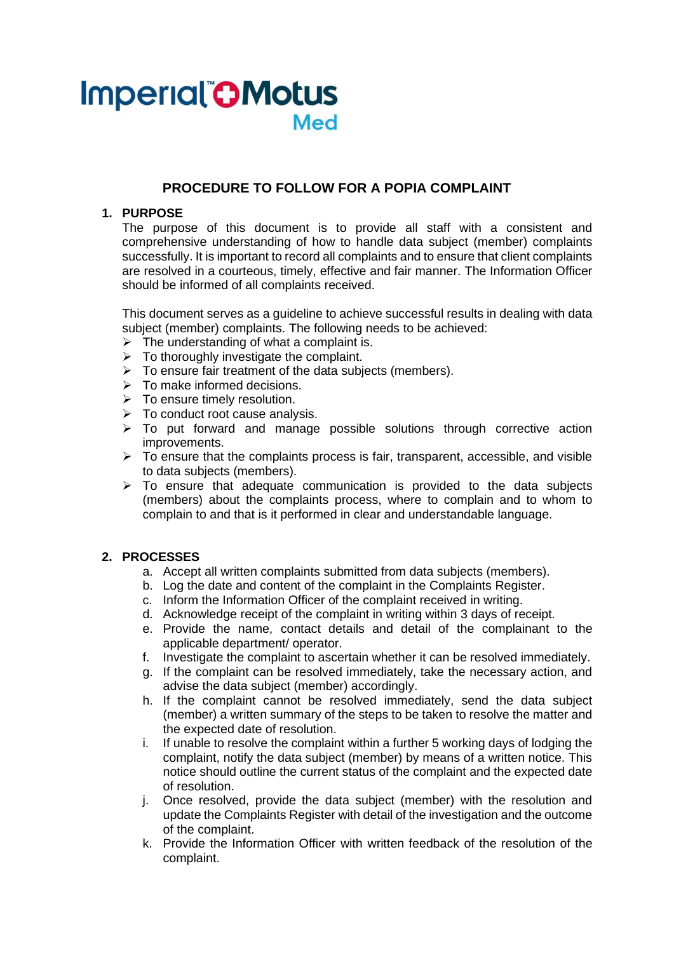# **Imperial OMotus Med**

## **PROCEDURE TO FOLLOW FOR A POPIA COMPLAINT**

#### **1. PURPOSE**

The purpose of this document is to provide all staff with a consistent and comprehensive understanding of how to handle data subject (member) complaints successfully. It is important to record all complaints and to ensure that client complaints are resolved in a courteous, timely, effective and fair manner. The Information Officer should be informed of all complaints received.

This document serves as a guideline to achieve successful results in dealing with data subject (member) complaints. The following needs to be achieved:

- $\triangleright$  The understanding of what a complaint is.
- $\triangleright$  To thoroughly investigate the complaint.
- $\triangleright$  To ensure fair treatment of the data subjects (members).
- $\triangleright$  To make informed decisions.
- $\triangleright$  To ensure timely resolution.
- $\triangleright$  To conduct root cause analysis.
- $\triangleright$  To put forward and manage possible solutions through corrective action improvements.
- $\triangleright$  To ensure that the complaints process is fair, transparent, accessible, and visible to data subjects (members).
- $\triangleright$  To ensure that adequate communication is provided to the data subjects (members) about the complaints process, where to complain and to whom to complain to and that is it performed in clear and understandable language.

#### **2. PROCESSES**

- a. Accept all written complaints submitted from data subjects (members).
- b. Log the date and content of the complaint in the Complaints Register.
- c. Inform the Information Officer of the complaint received in writing.
- d. Acknowledge receipt of the complaint in writing within 3 days of receipt.
- e. Provide the name, contact details and detail of the complainant to the applicable department/ operator.
- f. Investigate the complaint to ascertain whether it can be resolved immediately.
- g. If the complaint can be resolved immediately, take the necessary action, and advise the data subject (member) accordingly.
- h. If the complaint cannot be resolved immediately, send the data subject (member) a written summary of the steps to be taken to resolve the matter and the expected date of resolution.
- i. If unable to resolve the complaint within a further 5 working days of lodging the complaint, notify the data subject (member) by means of a written notice. This notice should outline the current status of the complaint and the expected date of resolution.
- j. Once resolved, provide the data subject (member) with the resolution and update the Complaints Register with detail of the investigation and the outcome of the complaint.
- k. Provide the Information Officer with written feedback of the resolution of the complaint.